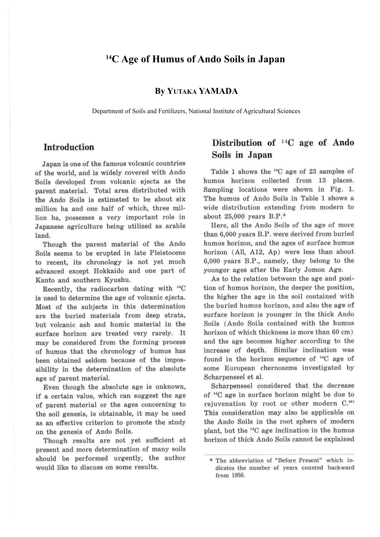### **14C Age of Humus of Ando Soils in Japan**

**By YUTAKA YAMADA**

Department of Soils and Fertilizers, National Institute of Agricultural Sciences

### **Introduction**

Japan is one of the famous volcanic countries of the world, and is widely covered with Ando Soils developed from volcanic ejecta as the parent material. Total area distributed with the Ando Soils is estimated to be about six million ha and one half of which, three million ha, possesses a very important role in Japanese agriculture being utilized as arable land.

Though the parent material of the Ando Soils seems to be erupted in late Pleistocene to recent, its chronology is not yet much advanced except Hokkaido and one part of Kanto and southern Kyushu.

Recently, the radiocarbon dating with 14C is used to determine the age of volcanic ejecta. Most of the subjects in this determination are the buried materials from deep strata, but volcanic ash and humic material in the surface horizon are treated very rarely. It may be considered from the forming process of humus that the chronology of humus has been obtained seldom because of the impossibility in the determination of the absolute age of parent material.

Even though the absolute age is unknown, if a certain value, which can suggest the age of parent material or the ages concerning to the soil genesis, is obtainable, it may be used as an effective criterion to promote the study on the genesis of Ando Soils.

Though results are not yet sufficient at present and more determination of many soils should be performed urgently, the author would like to discuss on some results.

## **Distribution of <sup>14</sup>C age of Ando Soils in Japan**

Table 1 shows the 14C age of 23 samples of humus horizon collected from 13 places. Sampling locations were shown in Fig. 1. The humus of Ando Soils in Table 1 shows a wide distribution extending from modern to about  $25,000$  years  $B.P.*$ 

Here, all the Ando Soils of the age of more than 6,000 years B.P. were derived from buried humus horizon, and the ages of surface humus horizon (All, A12, Ap) were less than about 6,000 years B.P., namely, they belong to the younger ages after the Early Jomon Age.

As to the relation between the age and position of humus horizon, the deeper the position, the higher the age in the soil contained with the buried humus horizon, and also the age of surface horizon is younger in the thick Ando Soils (Ando Soils contained with the humus horizon of which thickness is more than 60 cm) and the age becomes higher according to the increase of depth. Similar inclination was found in the horizon sequence of  $^{14}C$  age of some European chernozems investigated by Scharpenseel et al.

Scharpenseel considered that the decrease of <sup>14</sup>C age in surface horizon might be due to rejuvenation by root or other modern C.<sup>10)</sup> This consideration may also be applicable on the Ando Soils in the root sphere of modern plant, but the "'C age inclination in the humus horizon of thick Ando Soils cannot be explained

<sup>\*</sup> The abbreviation of "Before Present" which in. dicates the number of years counted backward from 1950.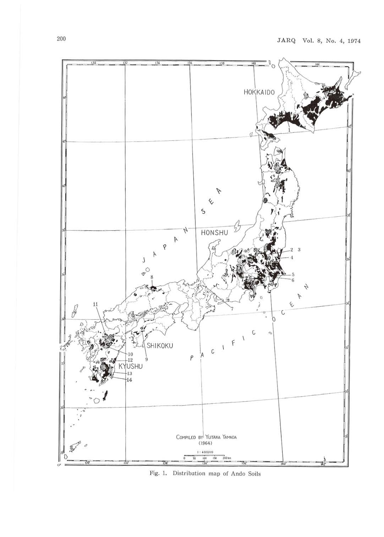

Fig. 1. Distribution map of Ando Soils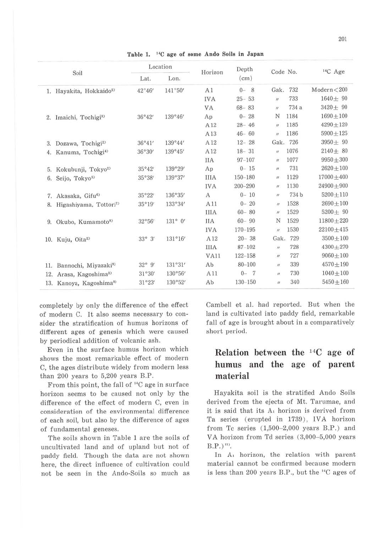|     |                                     | Location        |                  |             | Depth       | Code No.            |          | <sup>14</sup> C Age |
|-----|-------------------------------------|-----------------|------------------|-------------|-------------|---------------------|----------|---------------------|
|     | Soil                                | Lat.            | Lon.             | Horizon     | (cm)        |                     |          |                     |
|     | 1. Hayakita, Hokkaido <sup>2)</sup> | 42°46'          | 141°50'          | A1          | $0 - 8$     | Gak.                | 732      | Modern < 200        |
|     |                                     |                 |                  | <b>IVA</b>  | $25 - 53$   | $\boldsymbol{n}$    | 733      | $1640 + 90$         |
|     |                                     |                 |                  | VA          | $68 - 83$   | $\boldsymbol{H}$    | 734 a    | $3420 + 90$         |
|     | 2. Imaichi, Tochigi <sup>3)</sup>   | 36°42'          | 139°46'          | Ap          | $0 - 28$    | N                   | 1184     | $1690 + 100$        |
|     |                                     |                 |                  | A12         | $28 - 46$   | $^{\prime\prime}$   | 1185     | $4290 + 120$        |
|     |                                     |                 |                  | A13         | $46 - 60$   | ii.                 | 1186     | $5900 + 125$        |
| 3.  | Dozawa, Tochigi <sup>2)</sup>       | 36°41'          | 139°44'          | A12         | $12 - 28$   |                     | Gak. 726 | $3950 + 90$         |
| 4.  | Kanuma, Tochigi <sup>4)</sup>       | 36°30'          | 139°45'          | A12         | $18 - 31$   | $\overline{u}$      | 1076     | $2140 + 80$         |
|     |                                     |                 |                  | <b>IIA</b>  | $97 - 107$  | Ħ.                  | 1077     | $9950 + 300$        |
| 5.  | Kokubunji, Tokyo <sup>2)</sup>      | 35°42'          | 139°29'          | Ap          | $0 - 15$    | $^{\prime\prime}$   | 731      | $2620 + 100$        |
| 6.  | Seijo, Tokyo <sup>5)</sup>          | 35°38'          | 139°37'          | <b>IIIA</b> | 150-180     | $\boldsymbol{\eta}$ | 1129     | $17000 + 400$       |
|     |                                     |                 |                  | <b>IVA</b>  | 200-290     | $\mu$               | 1130     | $24900 + 900$       |
| 7.  | Akasaka, Gifu <sup>6)</sup>         | 35°22'          | 136°35'          | A           | $0 - 10$    | $\dot{H}$           | 734 b    | $5200 + 110$        |
| 8.  | Higashiyama, Tottori <sup>7</sup>   | 35°19'          | 133°34'          | A11         | $0 - 20$    | $\boldsymbol{n}$    | 1528     | $2690 + 100$        |
|     |                                     |                 |                  | <b>IIIA</b> | $60 - 80$   | $\prime$            | 1529     | $5200 + 90$         |
| 9.  | Okubo, Kumamoto <sup>8)</sup>       | 32°56'          | $131^{\circ}$ 0' | <b>IIA</b>  | $60 - 90$   | N                   | 1529     | $11800 + 220$       |
|     |                                     |                 |                  | <b>IVA</b>  | $170 - 195$ | $\dot{H}$           | 1530     | $22100 + 415$       |
|     | 10. Kuju, Oita <sup>2)</sup>        | $33^{\circ}$ 3' | 131°16'          | A12         | $20 - 38$   | Gak.                | 729      | $3500 + 100$        |
|     |                                     |                 |                  | <b>IIIA</b> | $87 - 102$  | $\boldsymbol{n}$    | 728      | $4300 + 270$        |
|     |                                     |                 |                  | VA11        | $122 - 158$ | $\eta$              | 727      | $9060 + 100$        |
| 11. | Bannochi, Miyazaki <sup>9)</sup>    | $32^{\circ}$ 9' | 131°31'          | Ab          | $80 - 100$  | $\boldsymbol{n}$    | 339      | $4570 + 190$        |
| 12. | Arasa, Kagoshima <sup>2)</sup>      | 31°30'          | 130°56'          | A11         | $0 -$<br>7  | $^{\prime\prime}$   | 730      | $1040 \pm 100$      |
|     | 13. Kanoya, Kagoshima <sup>9)</sup> | 31°23'          | 130°52'          | Ab          | 130-150     | $^{\prime\prime}$   | 340      | $5450 + 160$        |

Table 1. <sup>14</sup>C age of some Ando Soils in Japan

completely by only the difference of the effect of modern C. It also seems necessary to consider the stratification of humus horizons of different ages of genesis which were caused by periodical addition of volcanic ash.

Even in the surface humus horizon which shows the most remarkable effect of modern C, the ages distribute widely from modern less than 200 years to 5,200 years B.P.

From this point, the fall of "C age in surface horizon seems to be caused not only by the difference of the effect of modern C, even in consideration of the environmental difference of each soil, but also by the difference of ages of fundamental geneses.

The soils shown in Table 1 are the soils of uncultivated land and of upland but not of paddy field. Though the data are not shown here, the direct influence of cultivation could not be seen in the Ando-Soils so much as Cambell et al. had reported. But when the land is cultivated into paddy field, remarkable fall of age is brought about in a comparatively short period.

# **Relation between the <sup>14</sup>C age of humus and the** age **of parent material**

Hayakita soil is the stratified Ando Soils derived from the ejecta of Mt. Tarumae, and it is said that its A<sub>1</sub> horizon is derived from Ta series (erupted in 1739), IVA horizon from Tc series  $(1,500-2,000$  years B.P.) and VA horizon from Td series (3,000-5,000 years  $B.P.)^{(n)}$ .

In A<sub>1</sub> horizon, the relation with parent material cannot be confirmed because modern is less than 200 years B.P., but the  $C$  ages of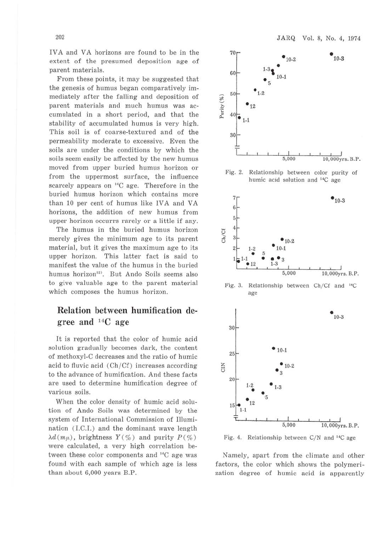IVA and VA horizons are found to be in the extent of the presumed deposition age of parent materials.

From these points, it may be suggested that the genesis of humus began comparatively immediately after the falling and deposition of parent materials and much humus was accumulated in a short period, and that the stability of accumulated humus is very high. This soil is of coarse-textured and of the permeability moderate to excessive. Even the soils are under the conditions by which the soils seem easily be affected by the new humus moved from upper buried humus horizon 01· from the uppermost surface, the influence scarcely appears on 14C age. Therefore in the buried humus horizon which contains more than 10 per cent of humus like IVA and VA horizons, the addition of new humus from upper horizon occurrs rarely or a little if any.

The humus in the buried humus horizon merely gives the minimum age to its parent material, but it gives the maximum age to its upper horizon. This latter fact is said to manifest the value of the humus in the buried humus horizon<sup>12)</sup>. But Ando Soils seems also to give valuable age to the parent material which composes the humus horizon.

## **Relation between humification degree and 14C age**

It is reported that the color of humic acid solution gradually becomes dark, the content of methoxyl-C decreases and the ratio of humic acid to fluvic acid  $(Ch/Cf)$  increases according to the advance of humification. And these facts are used to determine humification degree of various soils.

When the color density of humic acid solution of Ando Soils was determined by the system of Intemational Commission of Illumination (LC.I.) and the dominant wave length  $\lambda d(m\mu)$ , brightness  $Y(\%)$  and purity  $P(\%)$ were calculated, a very high correlation between these color components and <sup>14</sup>C age was found with each sample of which age is less than about 6,000 years B.P.



Fig. 2. Relationship between color purity of humic acid solution and <sup>14</sup>C age



Fig. 3. Relationship between Ch/Cf and <sup>14</sup>C age



Fig. 4. Relationship between C/N and <sup>14</sup>C age

Namely, apart from the climate and other factors, the color which shows the polymerization degree of humic acid is apparently